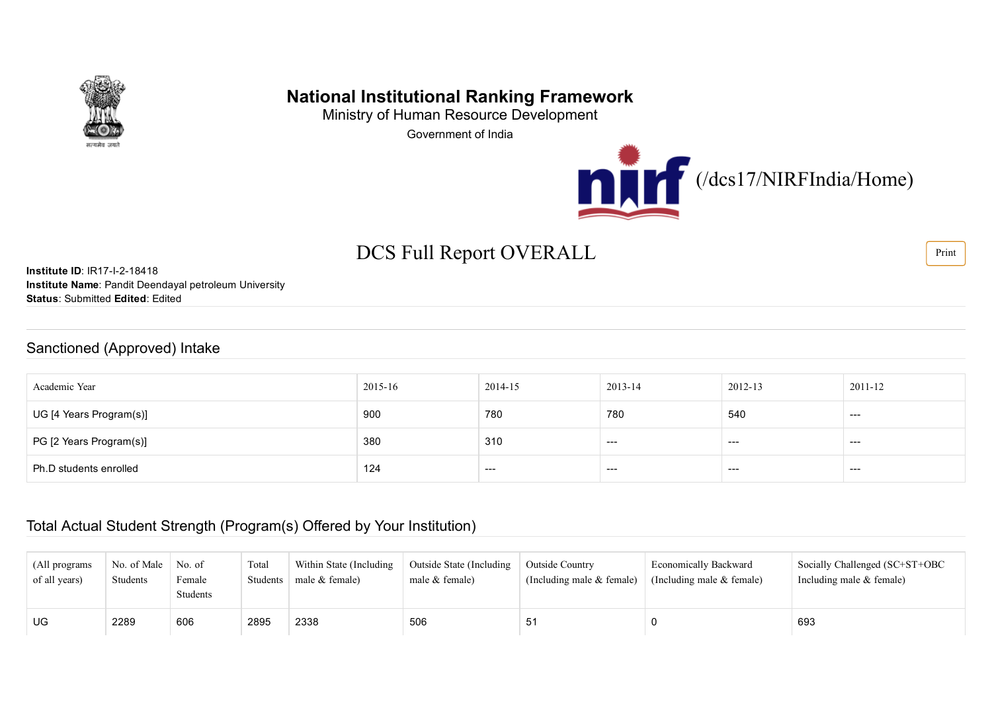

# National Institutional Ranking Framework

Ministry of Human Resource Development Government of India



# DCS Full Report OVERALL Find Section 2014

**Institute ID: IR17-I-2-18418** Institute Name: Pandit Deendayal petroleum University Status: Submitted Edited: Edited

#### Sanctioned (Approved) Intake

| Academic Year           | 2015-16 | 2014-15 | 2013-14 | 2012-13 | 2011-12 |
|-------------------------|---------|---------|---------|---------|---------|
| UG [4 Years Program(s)] | 900     | 780     | 780     | 540     | $- - -$ |
| PG [2 Years Program(s)] | 380     | 310     | ---     | ---     | $---$   |
| Ph.D students enrolled  | 124     | $- - -$ | ----    | $---$   | $--$    |

#### Total Actual Student Strength (Program(s) Offered by Your Institution)

| (All programs)<br>of all years) | No. of Male<br>Students | No. of<br>Female<br><b>Students</b> | Total<br>Students | Within State (Including<br>male $&$ female) | Outside State (Including<br>male $&$ female) | <b>Outside Country</b><br>(Including male $&$ female) | <b>Economically Backward</b><br>(Including male $&$ female) | Socially Challenged (SC+ST+OBC<br>Including male $&$ female) |
|---------------------------------|-------------------------|-------------------------------------|-------------------|---------------------------------------------|----------------------------------------------|-------------------------------------------------------|-------------------------------------------------------------|--------------------------------------------------------------|
| UG                              | 2289                    | 606                                 | 2895              | 2338                                        | 506                                          | 51                                                    |                                                             | 693                                                          |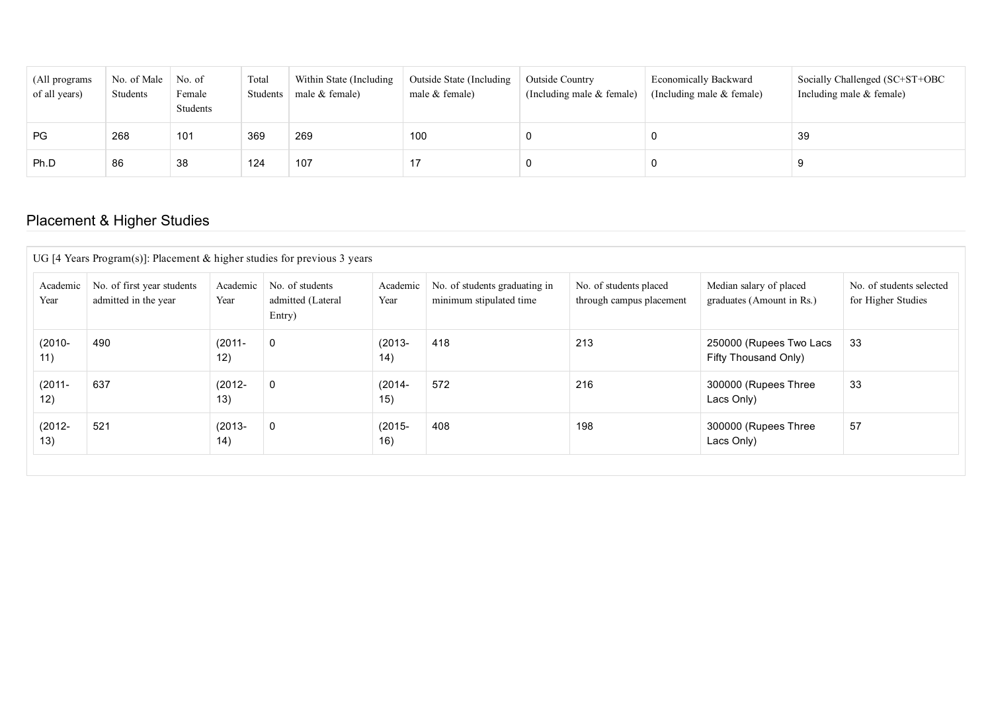| (All programs)<br>of all years) | No. of Male<br>Students | No. of<br>Female<br>Students | Total<br>Students | Within State (Including<br>male $&$ female) | Outside State (Including<br>male $&$ female) | <b>Outside Country</b><br>(Including male $&$ female) | <b>Economically Backward</b><br>(Including male $&$ female) | Socially Challenged (SC+ST+OBC<br>Including male $&$ female) |
|---------------------------------|-------------------------|------------------------------|-------------------|---------------------------------------------|----------------------------------------------|-------------------------------------------------------|-------------------------------------------------------------|--------------------------------------------------------------|
| PG                              | 268                     | 101                          | 369               | 269                                         | 100                                          |                                                       |                                                             | 39                                                           |
| Ph.D                            | 86                      | 38                           | 124               | 107                                         |                                              |                                                       |                                                             |                                                              |

## Placement & Higher Studies

| Academic<br>Year | No. of first year students<br>admitted in the year | Academic<br>Year | No. of students<br>admitted (Lateral<br>Entry) | Academic<br>Year | No. of students graduating in<br>minimum stipulated time | No. of students placed<br>through campus placement | Median salary of placed<br>graduates (Amount in Rs.) | No. of students selected<br>for Higher Studies |
|------------------|----------------------------------------------------|------------------|------------------------------------------------|------------------|----------------------------------------------------------|----------------------------------------------------|------------------------------------------------------|------------------------------------------------|
| $(2010 -$<br>11) | 490                                                | $(2011 -$<br>12) | $\mathbf 0$                                    | $(2013 -$<br>14) | 418                                                      | 213                                                | 250000 (Rupees Two Lacs<br>Fifty Thousand Only)      | 33                                             |
| $(2011 -$<br>12) | 637                                                | $(2012 -$<br>13) | $\mathbf 0$                                    | $(2014 -$<br>15) | 572                                                      | 216                                                | 300000 (Rupees Three<br>Lacs Only)                   | 33                                             |
| $(2012 -$<br>13) | 521                                                | $(2013 -$<br>14) | $\mathbf 0$                                    | $(2015 -$<br>16) | 408                                                      | 198                                                | 300000 (Rupees Three<br>Lacs Only)                   | 57                                             |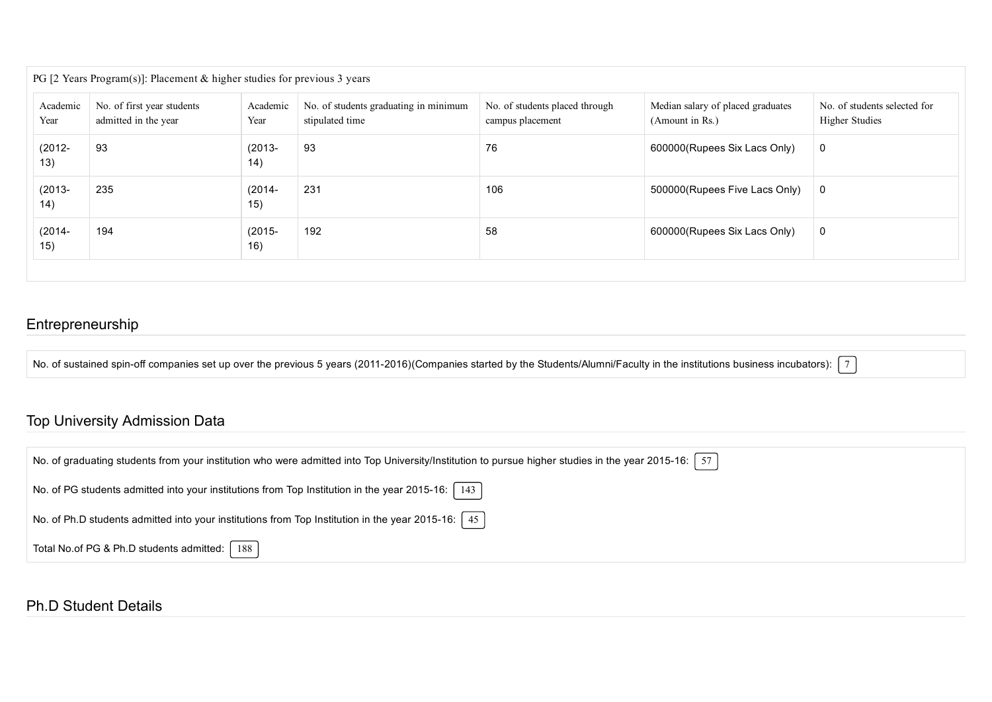| Academic<br>Year | No. of first year students<br>admitted in the year | Academic<br>Year | No. of students graduating in minimum<br>stipulated time | No. of students placed through<br>campus placement | Median salary of placed graduates<br>(Amount in Rs.) | No. of students selected for<br><b>Higher Studies</b> |
|------------------|----------------------------------------------------|------------------|----------------------------------------------------------|----------------------------------------------------|------------------------------------------------------|-------------------------------------------------------|
| $(2012 -$<br>13) | 93                                                 | $(2013 -$<br>14) | 93                                                       | 76                                                 | 600000(Rupees Six Lacs Only)                         | $\mathbf 0$                                           |
| $(2013 -$<br>14) | 235                                                | $(2014 -$<br>15) | 231                                                      | 106                                                | 500000(Rupees Five Lacs Only)                        | 0                                                     |
| $(2014 -$<br>15) | 194                                                | $(2015 -$<br>16) | 192                                                      | 58                                                 | 600000(Rupees Six Lacs Only)                         | 0                                                     |

### Entrepreneurship

No. of sustained spin-off companies set up over the previous 5 years (2011-2016)(Companies started by the Students/Alumni/Faculty in the institutions business incubators):  $\lceil 7 \rceil$ 

#### Top University Admission Data

| No. of graduating students from your institution who were admitted into Top University/Institution to pursue higher studies in the year 2015-16: $\lceil 57 \rceil$ |
|---------------------------------------------------------------------------------------------------------------------------------------------------------------------|
| No. of PG students admitted into your institutions from Top Institution in the year 2015-16: $\mid$ 143                                                             |
| No. of Ph.D students admitted into your institutions from Top Institution in the year 2015-16: $\left[45\right]$                                                    |
| Total No.of PG & Ph.D students admitted:   188                                                                                                                      |

#### Ph.D Student Details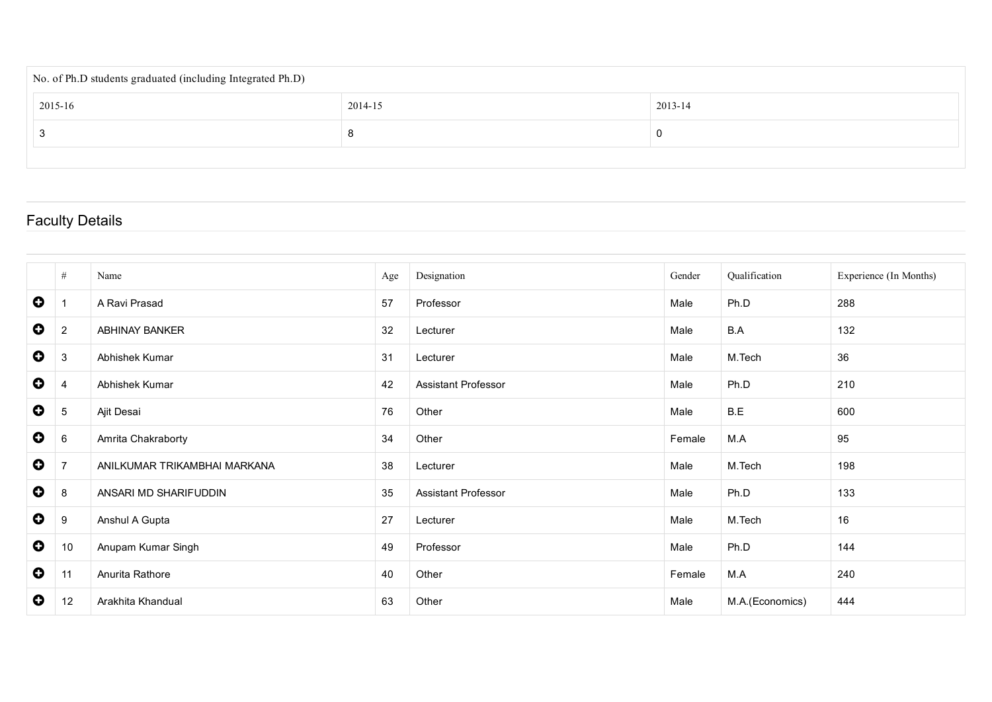| No. of Ph.D students graduated (including Integrated Ph.D) |         |         |
|------------------------------------------------------------|---------|---------|
| 2015-16                                                    | 2014-15 | 2013-14 |
|                                                            |         |         |
|                                                            |         |         |

## Faculty Details

|           | #              | Name                         | Age | Designation                | Gender | Qualification   | Experience (In Months) |
|-----------|----------------|------------------------------|-----|----------------------------|--------|-----------------|------------------------|
| $\bullet$ |                | A Ravi Prasad                | 57  | Professor                  | Male   | Ph.D            | 288                    |
| $\bullet$ | 2              | ABHINAY BANKER               | 32  | Lecturer                   | Male   | B.A             | 132                    |
| $\bullet$ | 3              | Abhishek Kumar               | 31  | Lecturer                   | Male   | M.Tech          | 36                     |
| $\bullet$ | 4              | Abhishek Kumar               | 42  | <b>Assistant Professor</b> | Male   | Ph.D            | 210                    |
| $\bullet$ | 5              | Ajit Desai                   | 76  | Other                      | Male   | B.E             | 600                    |
| $\bullet$ | 6              | Amrita Chakraborty           | 34  | Other                      | Female | M.A             | 95                     |
| $\bullet$ | $\overline{7}$ | ANILKUMAR TRIKAMBHAI MARKANA | 38  | Lecturer                   | Male   | M.Tech          | 198                    |
| $\bullet$ | 8              | ANSARI MD SHARIFUDDIN        | 35  | <b>Assistant Professor</b> | Male   | Ph.D            | 133                    |
| $\bullet$ | 9              | Anshul A Gupta               | 27  | Lecturer                   | Male   | M.Tech          | 16                     |
| $\bullet$ | 10             | Anupam Kumar Singh           | 49  | Professor                  | Male   | Ph.D            | 144                    |
| $\bullet$ | 11             | Anurita Rathore              | 40  | Other                      | Female | M.A             | 240                    |
| $\bullet$ | 12             | Arakhita Khandual            | 63  | Other                      | Male   | M.A.(Economics) | 444                    |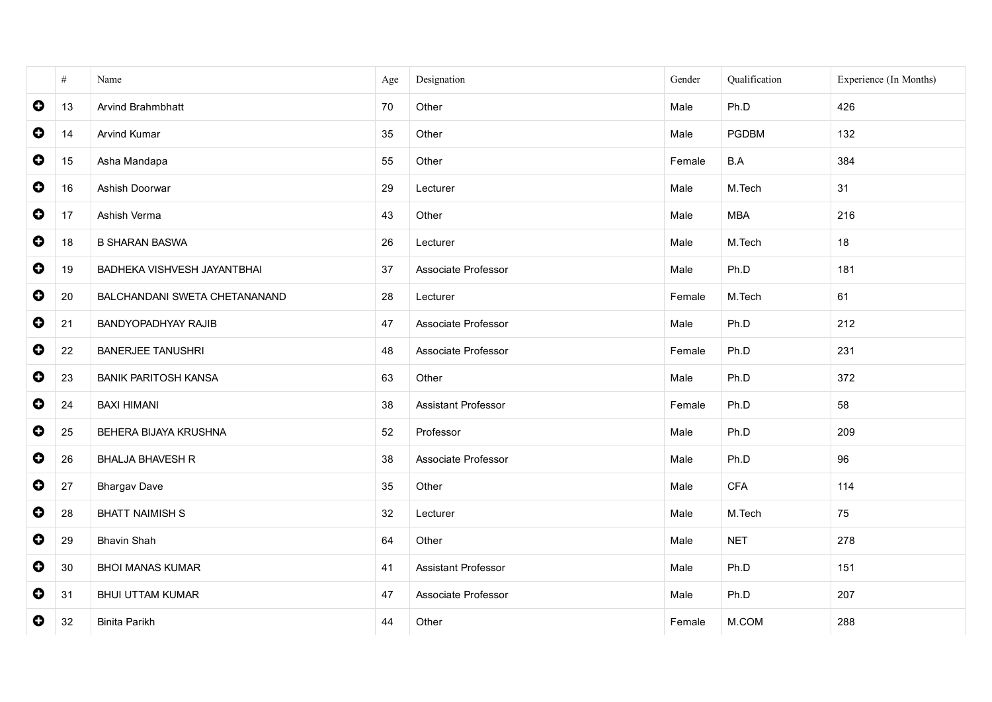|           | $\#$ | Name                          | Age | Designation         | Gender | Qualification | Experience (In Months) |
|-----------|------|-------------------------------|-----|---------------------|--------|---------------|------------------------|
| $\bullet$ | 13   | Arvind Brahmbhatt             | 70  | Other               | Male   | Ph.D          | 426                    |
| $\bullet$ | 14   | Arvind Kumar                  | 35  | Other               | Male   | PGDBM         | 132                    |
| $\bullet$ | 15   | Asha Mandapa                  | 55  | Other               | Female | B.A           | 384                    |
| $\bullet$ | 16   | Ashish Doorwar                | 29  | Lecturer            | Male   | M.Tech        | 31                     |
| $\bullet$ | 17   | Ashish Verma                  | 43  | Other               | Male   | <b>MBA</b>    | 216                    |
| $\bullet$ | 18   | <b>B SHARAN BASWA</b>         | 26  | Lecturer            | Male   | M.Tech        | 18                     |
| $\bullet$ | 19   | BADHEKA VISHVESH JAYANTBHAI   | 37  | Associate Professor | Male   | Ph.D          | 181                    |
| $\bullet$ | 20   | BALCHANDANI SWETA CHETANANAND | 28  | Lecturer            | Female | M.Tech        | 61                     |
| $\bullet$ | 21   | <b>BANDYOPADHYAY RAJIB</b>    | 47  | Associate Professor | Male   | Ph.D          | 212                    |
| $\bullet$ | 22   | <b>BANERJEE TANUSHRI</b>      | 48  | Associate Professor | Female | Ph.D          | 231                    |
| $\bullet$ | 23   | <b>BANIK PARITOSH KANSA</b>   | 63  | Other               | Male   | Ph.D          | 372                    |
| $\bullet$ | 24   | <b>BAXI HIMANI</b>            | 38  | Assistant Professor | Female | Ph.D          | 58                     |
| $\bullet$ | 25   | BEHERA BIJAYA KRUSHNA         | 52  | Professor           | Male   | Ph.D          | 209                    |
| $\bullet$ | 26   | <b>BHALJA BHAVESH R</b>       | 38  | Associate Professor | Male   | Ph.D          | 96                     |
| $\bullet$ | 27   | <b>Bhargav Dave</b>           | 35  | Other               | Male   | CFA           | 114                    |
| $\bullet$ | 28   | <b>BHATT NAIMISH S</b>        | 32  | Lecturer            | Male   | M.Tech        | 75                     |
| $\bullet$ | 29   | <b>Bhavin Shah</b>            | 64  | Other               | Male   | <b>NET</b>    | 278                    |
| $\bullet$ | 30   | <b>BHOI MANAS KUMAR</b>       | 41  | Assistant Professor | Male   | Ph.D          | 151                    |
| $\bullet$ | 31   | <b>BHUI UTTAM KUMAR</b>       | 47  | Associate Professor | Male   | Ph.D          | 207                    |
| $\bullet$ | 32   | <b>Binita Parikh</b>          | 44  | Other               | Female | M.COM         | 288                    |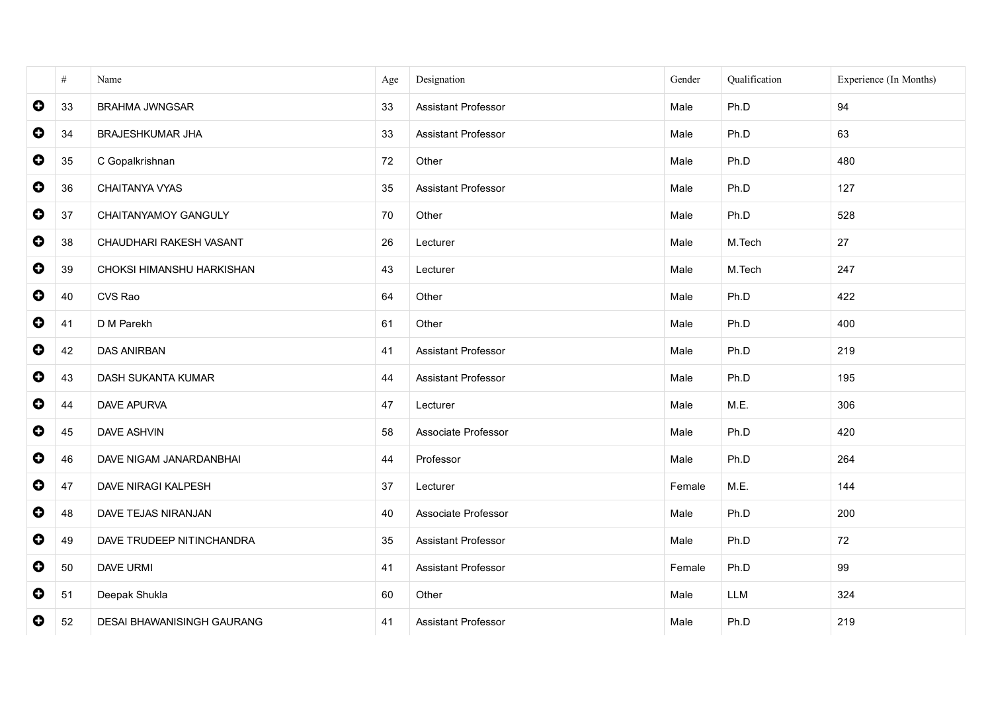|             | $\#$ | Name                       | Age | Designation                | Gender | Qualification | Experience (In Months) |
|-------------|------|----------------------------|-----|----------------------------|--------|---------------|------------------------|
| $\bullet$   | 33   | <b>BRAHMA JWNGSAR</b>      | 33  | <b>Assistant Professor</b> | Male   | Ph.D          | 94                     |
| $\bullet$   | 34   | BRAJESHKUMAR JHA           | 33  | Assistant Professor        | Male   | Ph.D          | 63                     |
| $\bullet$   | 35   | C Gopalkrishnan            | 72  | Other                      | Male   | Ph.D          | 480                    |
| $\bullet$   | 36   | CHAITANYA VYAS             | 35  | Assistant Professor        | Male   | Ph.D          | 127                    |
| $\bullet$   | 37   | CHAITANYAMOY GANGULY       | 70  | Other                      | Male   | Ph.D          | 528                    |
| $\bullet$   | 38   | CHAUDHARI RAKESH VASANT    | 26  | Lecturer                   | Male   | M.Tech        | 27                     |
| $\bullet$   | 39   | CHOKSI HIMANSHU HARKISHAN  | 43  | Lecturer                   | Male   | M.Tech        | 247                    |
| $\bullet$   | 40   | CVS Rao                    | 64  | Other                      | Male   | Ph.D          | 422                    |
| $\bullet$   | 41   | D M Parekh                 | 61  | Other                      | Male   | Ph.D          | 400                    |
| $\bullet$   | 42   | <b>DAS ANIRBAN</b>         | 41  | Assistant Professor        | Male   | Ph.D          | 219                    |
| $\bullet$   | 43   | DASH SUKANTA KUMAR         | 44  | Assistant Professor        | Male   | Ph.D          | 195                    |
| $\bullet$   | 44   | <b>DAVE APURVA</b>         | 47  | Lecturer                   | Male   | M.E.          | 306                    |
| $\bullet$   | 45   | DAVE ASHVIN                | 58  | Associate Professor        | Male   | Ph.D          | 420                    |
| $\bullet$   | 46   | DAVE NIGAM JANARDANBHAI    | 44  | Professor                  | Male   | Ph.D          | 264                    |
| $\bullet$   | 47   | DAVE NIRAGI KALPESH        | 37  | Lecturer                   | Female | M.E.          | 144                    |
| $\bullet$   | 48   | DAVE TEJAS NIRANJAN        | 40  | Associate Professor        | Male   | Ph.D          | 200                    |
| $\bullet$   | 49   | DAVE TRUDEEP NITINCHANDRA  | 35  | Assistant Professor        | Male   | Ph.D          | 72                     |
| $\bullet$   | 50   | DAVE URMI                  | 41  | Assistant Professor        | Female | Ph.D          | 99                     |
| $\mathbf 0$ | 51   | Deepak Shukla              | 60  | Other                      | Male   | LLM           | 324                    |
| 0           | 52   | DESAI BHAWANISINGH GAURANG | 41  | <b>Assistant Professor</b> | Male   | Ph.D          | 219                    |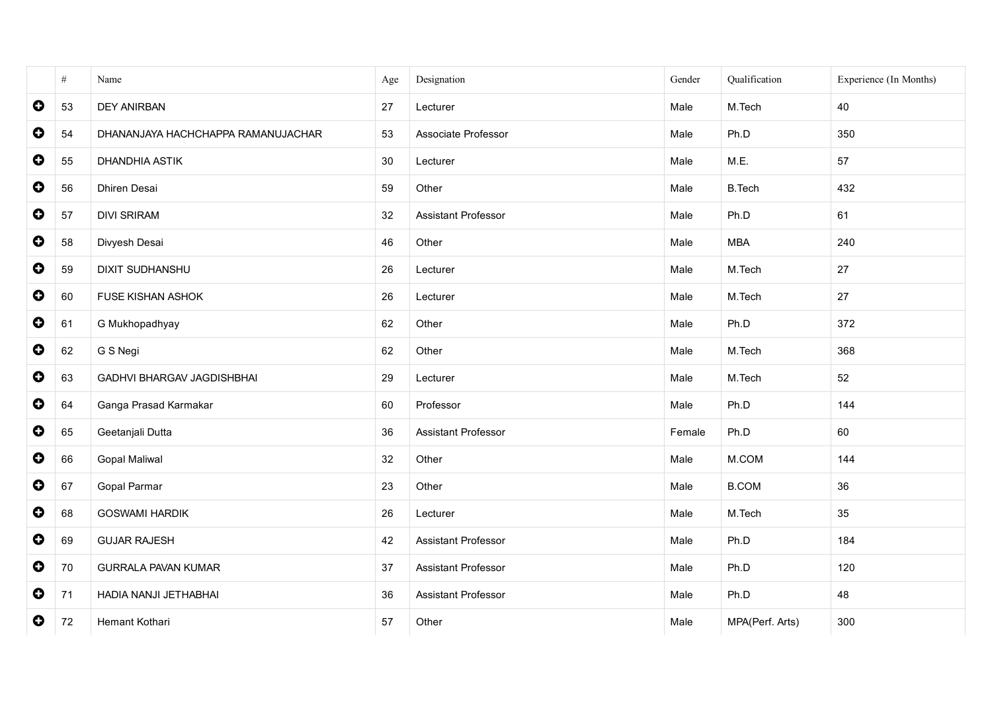|           | $\#$ | Name                               | Age | Designation                | Gender | Qualification   | Experience (In Months) |
|-----------|------|------------------------------------|-----|----------------------------|--------|-----------------|------------------------|
| $\bullet$ | 53   | <b>DEY ANIRBAN</b>                 | 27  | Lecturer                   | Male   | M.Tech          | 40                     |
| $\bullet$ | 54   | DHANANJAYA HACHCHAPPA RAMANUJACHAR | 53  | Associate Professor        | Male   | Ph.D            | 350                    |
| $\bullet$ | 55   | DHANDHIA ASTIK                     | 30  | Lecturer                   | Male   | M.E.            | 57                     |
| $\bullet$ | 56   | Dhiren Desai                       | 59  | Other                      | Male   | <b>B.Tech</b>   | 432                    |
| $\bullet$ | 57   | <b>DIVI SRIRAM</b>                 | 32  | <b>Assistant Professor</b> | Male   | Ph.D            | 61                     |
| $\bullet$ | 58   | Divyesh Desai                      | 46  | Other                      | Male   | <b>MBA</b>      | 240                    |
| $\bullet$ | 59   | <b>DIXIT SUDHANSHU</b>             | 26  | Lecturer                   | Male   | M.Tech          | 27                     |
| $\bullet$ | 60   | FUSE KISHAN ASHOK                  | 26  | Lecturer                   | Male   | M.Tech          | 27                     |
| $\bullet$ | 61   | G Mukhopadhyay                     | 62  | Other                      | Male   | Ph.D            | 372                    |
| $\bullet$ | 62   | G S Negi                           | 62  | Other                      | Male   | M.Tech          | 368                    |
| $\bullet$ | 63   | <b>GADHVI BHARGAV JAGDISHBHAI</b>  | 29  | Lecturer                   | Male   | M.Tech          | 52                     |
| $\bullet$ | 64   | Ganga Prasad Karmakar              | 60  | Professor                  | Male   | Ph.D            | 144                    |
| $\bullet$ | 65   | Geetanjali Dutta                   | 36  | <b>Assistant Professor</b> | Female | Ph.D            | 60                     |
| $\bullet$ | 66   | Gopal Maliwal                      | 32  | Other                      | Male   | M.COM           | 144                    |
| $\bullet$ | 67   | Gopal Parmar                       | 23  | Other                      | Male   | <b>B.COM</b>    | 36                     |
| $\bullet$ | 68   | <b>GOSWAMI HARDIK</b>              | 26  | Lecturer                   | Male   | M.Tech          | 35                     |
| $\bullet$ | 69   | <b>GUJAR RAJESH</b>                | 42  | Assistant Professor        | Male   | Ph.D            | 184                    |
| $\bullet$ | 70   | <b>GURRALA PAVAN KUMAR</b>         | 37  | Assistant Professor        | Male   | Ph.D            | 120                    |
| $\bullet$ | 71   | HADIA NANJI JETHABHAI              | 36  | Assistant Professor        | Male   | Ph.D            | 48                     |
| $\bullet$ | 72   | Hemant Kothari                     | 57  | Other                      | Male   | MPA(Perf. Arts) | 300                    |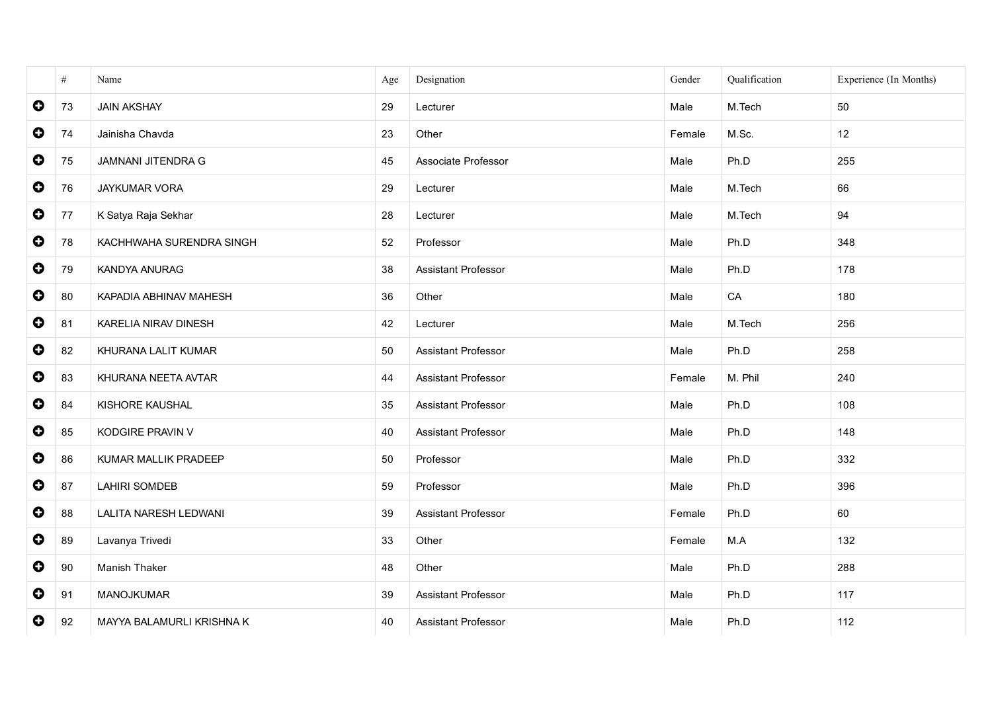|             | $\#$ | Name                         | Age | Designation                | Gender | Qualification | Experience (In Months) |
|-------------|------|------------------------------|-----|----------------------------|--------|---------------|------------------------|
| $\mathbf 0$ | 73   | <b>JAIN AKSHAY</b>           | 29  | Lecturer                   | Male   | M.Tech        | 50                     |
| $\bullet$   | 74   | Jainisha Chavda              | 23  | Other                      | Female | M.Sc.         | 12                     |
| $\bullet$   | 75   | <b>JAMNANI JITENDRA G</b>    | 45  | Associate Professor        | Male   | Ph.D          | 255                    |
| $\bullet$   | 76   | JAYKUMAR VORA                | 29  | Lecturer                   | Male   | M.Tech        | 66                     |
| $\bullet$   | 77   | K Satya Raja Sekhar          | 28  | Lecturer                   | Male   | M.Tech        | 94                     |
| $\bullet$   | 78   | KACHHWAHA SURENDRA SINGH     | 52  | Professor                  | Male   | Ph.D          | 348                    |
| $\bullet$   | 79   | KANDYA ANURAG                | 38  | Assistant Professor        | Male   | Ph.D          | 178                    |
| $\bullet$   | 80   | KAPADIA ABHINAV MAHESH       | 36  | Other                      | Male   | CA            | 180                    |
| $\bullet$   | 81   | KARELIA NIRAV DINESH         | 42  | Lecturer                   | Male   | M.Tech        | 256                    |
| $\bullet$   | 82   | KHURANA LALIT KUMAR          | 50  | <b>Assistant Professor</b> | Male   | Ph.D          | 258                    |
| $\bullet$   | 83   | KHURANA NEETA AVTAR          | 44  | Assistant Professor        | Female | M. Phil       | 240                    |
| $\bullet$   | 84   | KISHORE KAUSHAL              | 35  | Assistant Professor        | Male   | Ph.D          | 108                    |
| $\bullet$   | 85   | KODGIRE PRAVIN V             | 40  | Assistant Professor        | Male   | Ph.D          | 148                    |
| $\bullet$   | 86   | KUMAR MALLIK PRADEEP         | 50  | Professor                  | Male   | Ph.D          | 332                    |
| $\bullet$   | 87   | <b>LAHIRI SOMDEB</b>         | 59  | Professor                  | Male   | Ph.D          | 396                    |
| $\bullet$   | 88   | <b>LALITA NARESH LEDWANI</b> | 39  | <b>Assistant Professor</b> | Female | Ph.D          | 60                     |
| $\bullet$   | 89   | Lavanya Trivedi              | 33  | Other                      | Female | M.A           | 132                    |
| $\bullet$   | 90   | Manish Thaker                | 48  | Other                      | Male   | Ph.D          | 288                    |
| $\mathbf 0$ | 91   | MANOJKUMAR                   | 39  | Assistant Professor        | Male   | Ph.D          | 117                    |
| 0           | 92   | MAYYA BALAMURLI KRISHNA K    | 40  | <b>Assistant Professor</b> | Male   | Ph.D          | 112                    |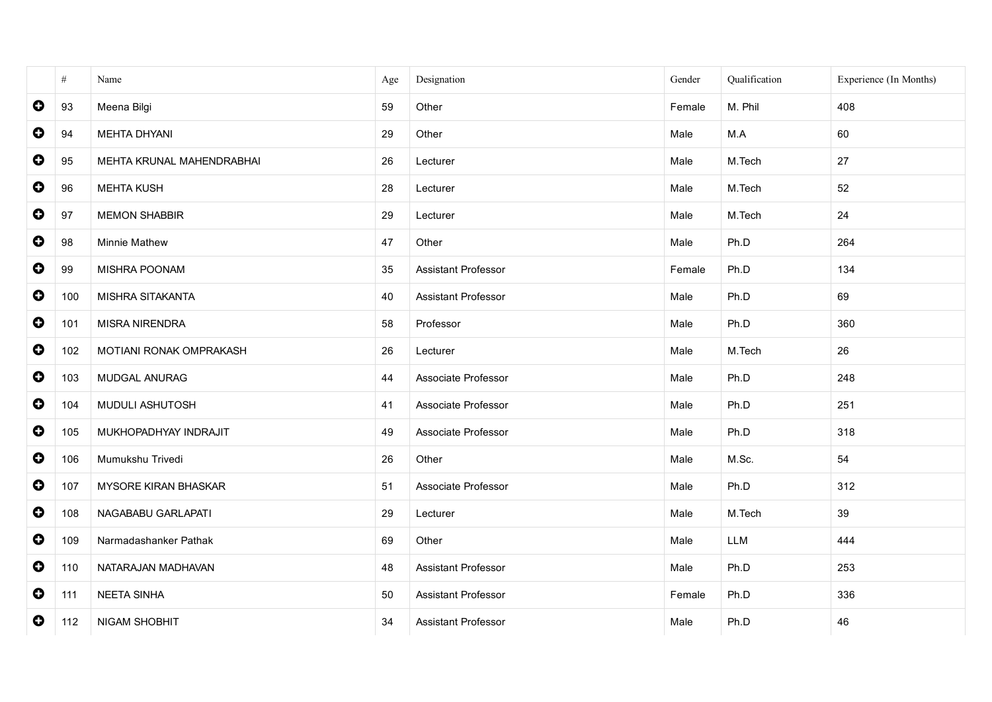|           | $\#$ | Name                      | Age | Designation                | Gender | Qualification | Experience (In Months) |
|-----------|------|---------------------------|-----|----------------------------|--------|---------------|------------------------|
| $\bullet$ | 93   | Meena Bilgi               | 59  | Other                      | Female | M. Phil       | 408                    |
| $\bullet$ | 94   | <b>MEHTA DHYANI</b>       | 29  | Other                      | Male   | M.A           | 60                     |
| $\bullet$ | 95   | MEHTA KRUNAL MAHENDRABHAI | 26  | Lecturer                   | Male   | M.Tech        | 27                     |
| $\bullet$ | 96   | <b>MEHTA KUSH</b>         | 28  | Lecturer                   | Male   | M.Tech        | 52                     |
| $\bullet$ | 97   | <b>MEMON SHABBIR</b>      | 29  | Lecturer                   | Male   | M.Tech        | 24                     |
| $\bullet$ | 98   | <b>Minnie Mathew</b>      | 47  | Other                      | Male   | Ph.D          | 264                    |
| $\bullet$ | 99   | MISHRA POONAM             | 35  | Assistant Professor        | Female | Ph.D          | 134                    |
| $\bullet$ | 100  | MISHRA SITAKANTA          | 40  | Assistant Professor        | Male   | Ph.D          | 69                     |
| $\bullet$ | 101  | MISRA NIRENDRA            | 58  | Professor                  | Male   | Ph.D          | 360                    |
| $\bullet$ | 102  | MOTIANI RONAK OMPRAKASH   | 26  | Lecturer                   | Male   | M.Tech        | 26                     |
| $\bullet$ | 103  | MUDGAL ANURAG             | 44  | Associate Professor        | Male   | Ph.D          | 248                    |
| $\bullet$ | 104  | MUDULI ASHUTOSH           | 41  | Associate Professor        | Male   | Ph.D          | 251                    |
| $\bullet$ | 105  | MUKHOPADHYAY INDRAJIT     | 49  | Associate Professor        | Male   | Ph.D          | 318                    |
| $\bullet$ | 106  | Mumukshu Trivedi          | 26  | Other                      | Male   | M.Sc.         | 54                     |
| $\bullet$ | 107  | MYSORE KIRAN BHASKAR      | 51  | Associate Professor        | Male   | Ph.D          | 312                    |
| $\bullet$ | 108  | NAGABABU GARLAPATI        | 29  | Lecturer                   | Male   | M.Tech        | 39                     |
| $\bullet$ | 109  | Narmadashanker Pathak     | 69  | Other                      | Male   | LLM           | 444                    |
| $\bullet$ | 110  | NATARAJAN MADHAVAN        | 48  | Assistant Professor        | Male   | Ph.D          | 253                    |
| $\bullet$ | 111  | <b>NEETA SINHA</b>        | 50  | Assistant Professor        | Female | Ph.D          | 336                    |
| $\bullet$ | 112  | NIGAM SHOBHIT             | 34  | <b>Assistant Professor</b> | Male   | Ph.D          | 46                     |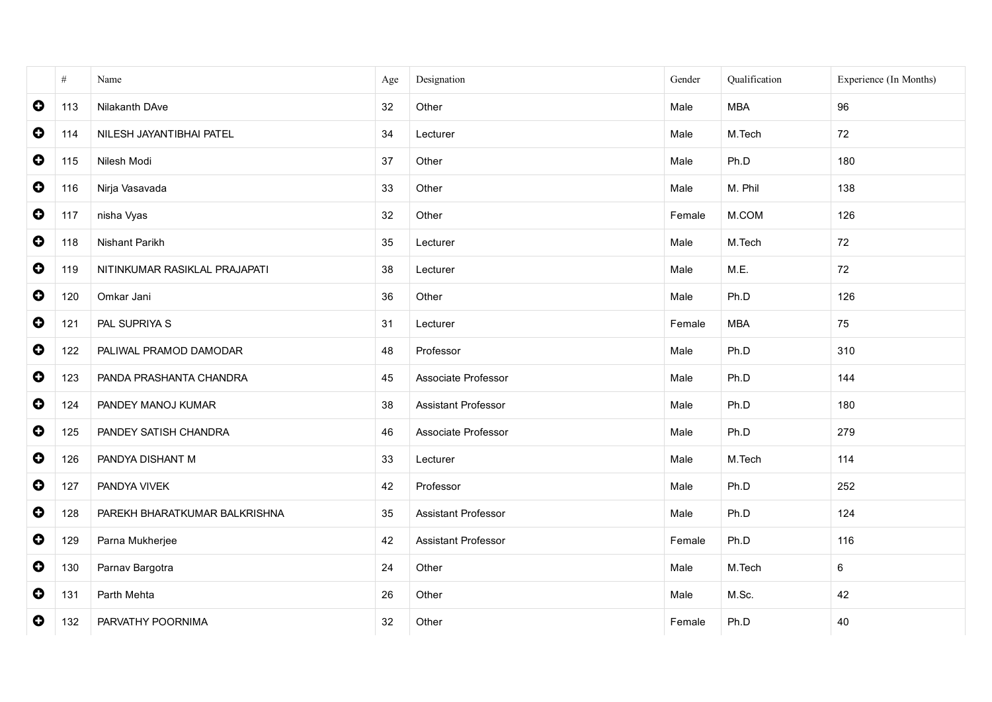|           | $\#$ | Name                          | Age | Designation                | Gender | Qualification | Experience (In Months) |
|-----------|------|-------------------------------|-----|----------------------------|--------|---------------|------------------------|
| $\bullet$ | 113  | Nilakanth DAve                | 32  | Other                      | Male   | <b>MBA</b>    | 96                     |
| $\bullet$ | 114  | NILESH JAYANTIBHAI PATEL      | 34  | Lecturer                   | Male   | M.Tech        | 72                     |
| $\bullet$ | 115  | Nilesh Modi                   | 37  | Other                      | Male   | Ph.D          | 180                    |
| $\bullet$ | 116  | Nirja Vasavada                | 33  | Other                      | Male   | M. Phil       | 138                    |
| $\bullet$ | 117  | nisha Vyas                    | 32  | Other                      | Female | M.COM         | 126                    |
| $\bullet$ | 118  | Nishant Parikh                | 35  | Lecturer                   | Male   | M.Tech        | 72                     |
| $\bullet$ | 119  | NITINKUMAR RASIKLAL PRAJAPATI | 38  | Lecturer                   | Male   | M.E.          | 72                     |
| $\bullet$ | 120  | Omkar Jani                    | 36  | Other                      | Male   | Ph.D          | 126                    |
| $\bullet$ | 121  | PAL SUPRIYA S                 | 31  | Lecturer                   | Female | <b>MBA</b>    | 75                     |
| $\bullet$ | 122  | PALIWAL PRAMOD DAMODAR        | 48  | Professor                  | Male   | Ph.D          | 310                    |
| $\bullet$ | 123  | PANDA PRASHANTA CHANDRA       | 45  | Associate Professor        | Male   | Ph.D          | 144                    |
| $\bullet$ | 124  | PANDEY MANOJ KUMAR            | 38  | <b>Assistant Professor</b> | Male   | Ph.D          | 180                    |
| $\bullet$ | 125  | PANDEY SATISH CHANDRA         | 46  | Associate Professor        | Male   | Ph.D          | 279                    |
| $\bullet$ | 126  | PANDYA DISHANT M              | 33  | Lecturer                   | Male   | M.Tech        | 114                    |
| $\bullet$ | 127  | PANDYA VIVEK                  | 42  | Professor                  | Male   | Ph.D          | 252                    |
| $\bullet$ | 128  | PAREKH BHARATKUMAR BALKRISHNA | 35  | Assistant Professor        | Male   | Ph.D          | 124                    |
| $\bullet$ | 129  | Parna Mukherjee               | 42  | Assistant Professor        | Female | Ph.D          | 116                    |
| $\bullet$ | 130  | Parnav Bargotra               | 24  | Other                      | Male   | M.Tech        | 6                      |
| $\bullet$ | 131  | Parth Mehta                   | 26  | Other                      | Male   | M.Sc.         | 42                     |
| $\bullet$ | 132  | PARVATHY POORNIMA             | 32  | Other                      | Female | Ph.D          | 40                     |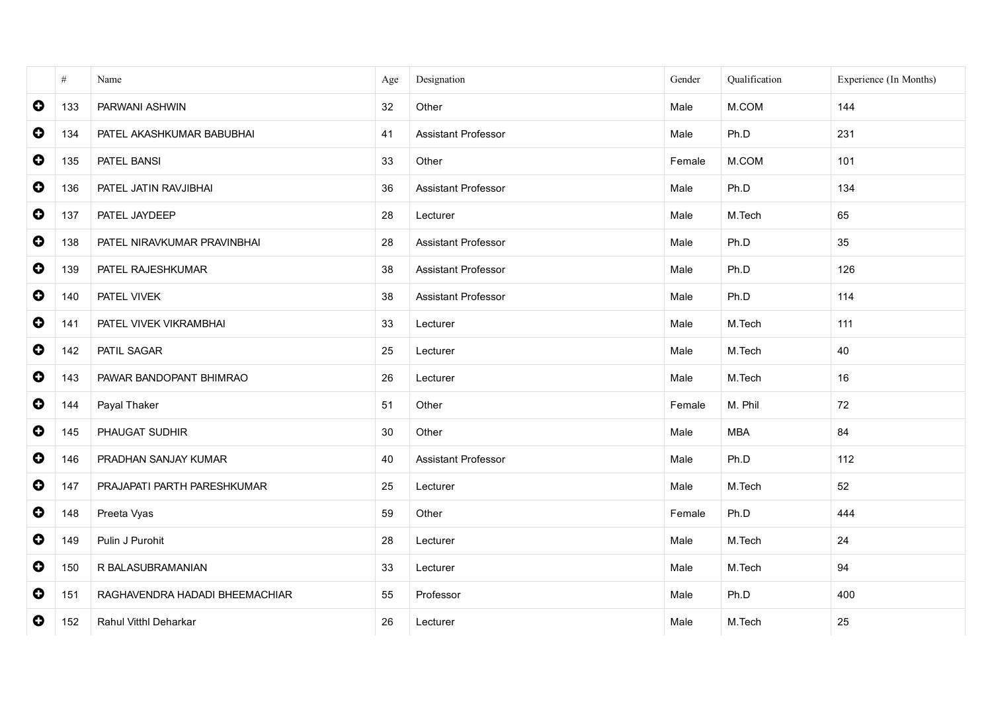|           | $\#$ | Name                           | Age | Designation                | Gender | Qualification | Experience (In Months) |
|-----------|------|--------------------------------|-----|----------------------------|--------|---------------|------------------------|
| $\bullet$ | 133  | PARWANI ASHWIN                 | 32  | Other                      | Male   | M.COM         | 144                    |
| $\bullet$ | 134  | PATEL AKASHKUMAR BABUBHAI      | 41  | Assistant Professor        | Male   | Ph.D          | 231                    |
| $\bullet$ | 135  | PATEL BANSI                    | 33  | Other                      | Female | M.COM         | 101                    |
| $\bullet$ | 136  | PATEL JATIN RAVJIBHAI          | 36  | Assistant Professor        | Male   | Ph.D          | 134                    |
| $\bullet$ | 137  | PATEL JAYDEEP                  | 28  | Lecturer                   | Male   | M.Tech        | 65                     |
| $\bullet$ | 138  | PATEL NIRAVKUMAR PRAVINBHAI    | 28  | Assistant Professor        | Male   | Ph.D          | 35                     |
| $\bullet$ | 139  | PATEL RAJESHKUMAR              | 38  | Assistant Professor        | Male   | Ph.D          | 126                    |
| $\bullet$ | 140  | PATEL VIVEK                    | 38  | Assistant Professor        | Male   | Ph.D          | 114                    |
| $\bullet$ | 141  | PATEL VIVEK VIKRAMBHAI         | 33  | Lecturer                   | Male   | M.Tech        | 111                    |
| $\bullet$ | 142  | PATIL SAGAR                    | 25  | Lecturer                   | Male   | M.Tech        | 40                     |
| $\bullet$ | 143  | PAWAR BANDOPANT BHIMRAO        | 26  | Lecturer                   | Male   | M.Tech        | 16                     |
| $\bullet$ | 144  | Payal Thaker                   | 51  | Other                      | Female | M. Phil       | 72                     |
| $\bullet$ | 145  | PHAUGAT SUDHIR                 | 30  | Other                      | Male   | <b>MBA</b>    | 84                     |
| $\bullet$ | 146  | PRADHAN SANJAY KUMAR           | 40  | <b>Assistant Professor</b> | Male   | Ph.D          | 112                    |
| $\bullet$ | 147  | PRAJAPATI PARTH PARESHKUMAR    | 25  | Lecturer                   | Male   | M.Tech        | 52                     |
| $\bullet$ | 148  | Preeta Vyas                    | 59  | Other                      | Female | Ph.D          | 444                    |
| $\bullet$ | 149  | Pulin J Purohit                | 28  | Lecturer                   | Male   | M.Tech        | 24                     |
| $\bullet$ | 150  | R BALASUBRAMANIAN              | 33  | Lecturer                   | Male   | M.Tech        | 94                     |
| $\bullet$ | 151  | RAGHAVENDRA HADADI BHEEMACHIAR | 55  | Professor                  | Male   | Ph.D          | 400                    |
| $\bullet$ | 152  | Rahul Vitthl Deharkar          | 26  | Lecturer                   | Male   | M.Tech        | 25                     |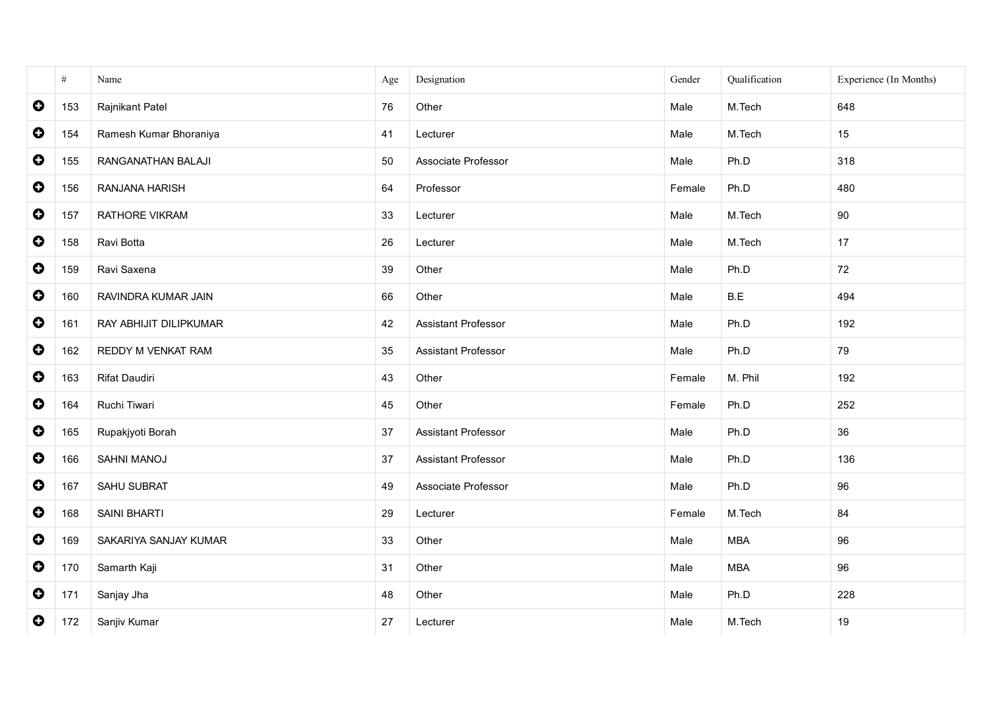|           | $\#$ | Name                   | Age | Designation         | Gender | Qualification | Experience (In Months) |
|-----------|------|------------------------|-----|---------------------|--------|---------------|------------------------|
| $\bullet$ | 153  | Rajnikant Patel        | 76  | Other               | Male   | M.Tech        | 648                    |
| $\bullet$ | 154  | Ramesh Kumar Bhoraniya | 41  | Lecturer            | Male   | M.Tech        | 15                     |
| $\bullet$ | 155  | RANGANATHAN BALAJI     | 50  | Associate Professor | Male   | Ph.D          | 318                    |
| $\bullet$ | 156  | RANJANA HARISH         | 64  | Professor           | Female | Ph.D          | 480                    |
| $\bullet$ | 157  | RATHORE VIKRAM         | 33  | Lecturer            | Male   | M.Tech        | 90                     |
| $\bullet$ | 158  | Ravi Botta             | 26  | Lecturer            | Male   | M.Tech        | 17                     |
| $\bullet$ | 159  | Ravi Saxena            | 39  | Other               | Male   | Ph.D          | 72                     |
| $\bullet$ | 160  | RAVINDRA KUMAR JAIN    | 66  | Other               | Male   | B.E           | 494                    |
| $\bullet$ | 161  | RAY ABHIJIT DILIPKUMAR | 42  | Assistant Professor | Male   | Ph.D          | 192                    |
| $\bullet$ | 162  | REDDY M VENKAT RAM     | 35  | Assistant Professor | Male   | Ph.D          | 79                     |
| $\bullet$ | 163  | Rifat Daudiri          | 43  | Other               | Female | M. Phil       | 192                    |
| $\bullet$ | 164  | Ruchi Tiwari           | 45  | Other               | Female | Ph.D          | 252                    |
| $\bullet$ | 165  | Rupakjyoti Borah       | 37  | Assistant Professor | Male   | Ph.D          | 36                     |
| $\bullet$ | 166  | SAHNI MANOJ            | 37  | Assistant Professor | Male   | Ph.D          | 136                    |
| $\bullet$ | 167  | SAHU SUBRAT            | 49  | Associate Professor | Male   | Ph.D          | 96                     |
| $\bullet$ | 168  | SAINI BHARTI           | 29  | Lecturer            | Female | M.Tech        | 84                     |
| $\bullet$ | 169  | SAKARIYA SANJAY KUMAR  | 33  | Other               | Male   | <b>MBA</b>    | 96                     |
| $\bullet$ | 170  | Samarth Kaji           | 31  | Other               | Male   | <b>MBA</b>    | 96                     |
| $\bullet$ | 171  | Sanjay Jha             | 48  | Other               | Male   | Ph.D          | 228                    |
| $\bullet$ | 172  | Sanjiv Kumar           | 27  | Lecturer            | Male   | M.Tech        | 19                     |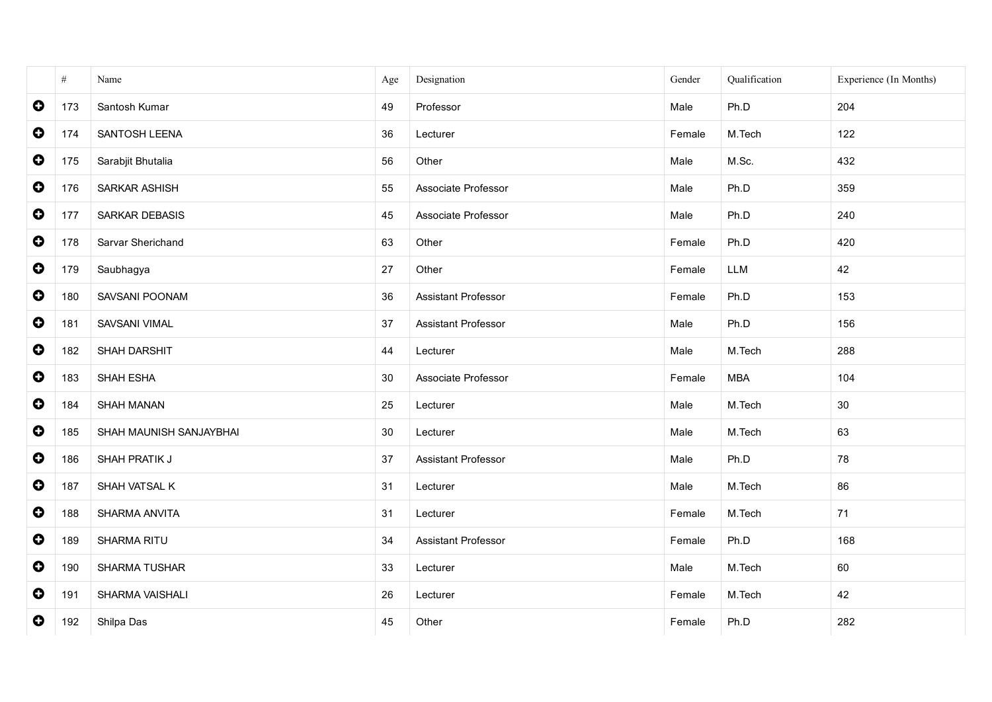|           | $\#$ | Name                    | Age | Designation         | Gender | Qualification | Experience (In Months) |
|-----------|------|-------------------------|-----|---------------------|--------|---------------|------------------------|
| $\bullet$ | 173  | Santosh Kumar           | 49  | Professor           | Male   | Ph.D          | 204                    |
| $\bullet$ | 174  | SANTOSH LEENA           | 36  | Lecturer            | Female | M.Tech        | 122                    |
| $\bullet$ | 175  | Sarabjit Bhutalia       | 56  | Other               | Male   | M.Sc.         | 432                    |
| $\bullet$ | 176  | SARKAR ASHISH           | 55  | Associate Professor | Male   | Ph.D          | 359                    |
| $\bullet$ | 177  | SARKAR DEBASIS          | 45  | Associate Professor | Male   | Ph.D          | 240                    |
| $\bullet$ | 178  | Sarvar Sherichand       | 63  | Other               | Female | Ph.D          | 420                    |
| $\bullet$ | 179  | Saubhagya               | 27  | Other               | Female | LLM           | 42                     |
| $\bullet$ | 180  | SAVSANI POONAM          | 36  | Assistant Professor | Female | Ph.D          | 153                    |
| $\bullet$ | 181  | SAVSANI VIMAL           | 37  | Assistant Professor | Male   | Ph.D          | 156                    |
| $\bullet$ | 182  | SHAH DARSHIT            | 44  | Lecturer            | Male   | M.Tech        | 288                    |
| $\bullet$ | 183  | SHAH ESHA               | 30  | Associate Professor | Female | <b>MBA</b>    | 104                    |
| $\bullet$ | 184  | SHAH MANAN              | 25  | Lecturer            | Male   | M.Tech        | 30                     |
| $\bullet$ | 185  | SHAH MAUNISH SANJAYBHAI | 30  | Lecturer            | Male   | M.Tech        | 63                     |
| $\bullet$ | 186  | SHAH PRATIK J           | 37  | Assistant Professor | Male   | Ph.D          | 78                     |
| $\bullet$ | 187  | SHAH VATSAL K           | 31  | Lecturer            | Male   | M.Tech        | 86                     |
| $\bullet$ | 188  | SHARMA ANVITA           | 31  | Lecturer            | Female | M.Tech        | 71                     |
| $\bullet$ | 189  | SHARMA RITU             | 34  | Assistant Professor | Female | Ph.D          | 168                    |
| $\bullet$ | 190  | SHARMA TUSHAR           | 33  | Lecturer            | Male   | M.Tech        | 60                     |
| $\bullet$ | 191  | SHARMA VAISHALI         | 26  | Lecturer            | Female | M.Tech        | 42                     |
| $\bullet$ | 192  | Shilpa Das              | 45  | Other               | Female | Ph.D          | 282                    |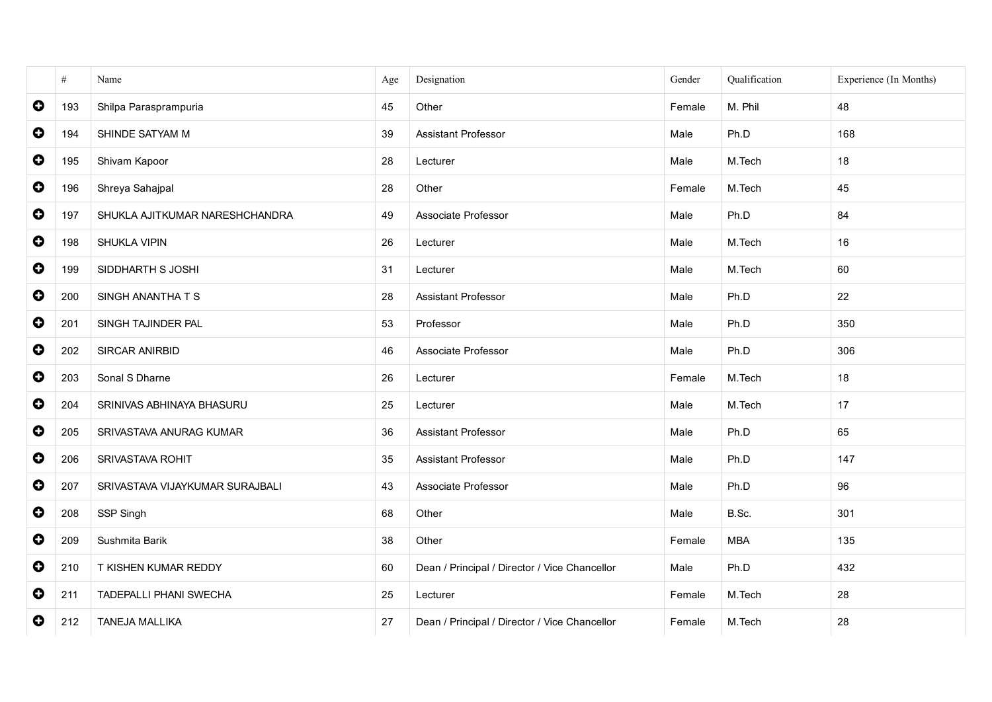|           | #   | Name                            | Age | Designation                                   | Gender | Qualification | Experience (In Months) |
|-----------|-----|---------------------------------|-----|-----------------------------------------------|--------|---------------|------------------------|
| $\bullet$ | 193 | Shilpa Parasprampuria           | 45  | Other                                         | Female | M. Phil       | 48                     |
| $\bullet$ | 194 | SHINDE SATYAM M                 | 39  | <b>Assistant Professor</b>                    | Male   | Ph.D          | 168                    |
| $\bullet$ | 195 | Shivam Kapoor                   | 28  | Lecturer                                      | Male   | M.Tech        | 18                     |
| $\bullet$ | 196 | Shreya Sahajpal                 | 28  | Other                                         | Female | M.Tech        | 45                     |
| $\bullet$ | 197 | SHUKLA AJITKUMAR NARESHCHANDRA  | 49  | Associate Professor                           | Male   | Ph.D          | 84                     |
| $\bullet$ | 198 | SHUKLA VIPIN                    | 26  | Lecturer                                      | Male   | M.Tech        | 16                     |
| $\bullet$ | 199 | SIDDHARTH S JOSHI               | 31  | Lecturer                                      | Male   | M.Tech        | 60                     |
| $\bullet$ | 200 | SINGH ANANTHA T S               | 28  | <b>Assistant Professor</b>                    | Male   | Ph.D          | 22                     |
| $\bullet$ | 201 | SINGH TAJINDER PAL              | 53  | Professor                                     | Male   | Ph.D          | 350                    |
| $\bullet$ | 202 | SIRCAR ANIRBID                  | 46  | Associate Professor                           | Male   | Ph.D          | 306                    |
| $\bullet$ | 203 | Sonal S Dharne                  | 26  | Lecturer                                      | Female | M.Tech        | 18                     |
| $\bullet$ | 204 | SRINIVAS ABHINAYA BHASURU       | 25  | Lecturer                                      | Male   | M.Tech        | 17                     |
| $\bullet$ | 205 | SRIVASTAVA ANURAG KUMAR         | 36  | Assistant Professor                           | Male   | Ph.D          | 65                     |
| $\bullet$ | 206 | SRIVASTAVA ROHIT                | 35  | <b>Assistant Professor</b>                    | Male   | Ph.D          | 147                    |
| $\bullet$ | 207 | SRIVASTAVA VIJAYKUMAR SURAJBALI | 43  | Associate Professor                           | Male   | Ph.D          | 96                     |
| $\bullet$ | 208 | SSP Singh                       | 68  | Other                                         | Male   | B.Sc.         | 301                    |
| $\bullet$ | 209 | Sushmita Barik                  | 38  | Other                                         | Female | <b>MBA</b>    | 135                    |
| $\bullet$ | 210 | T KISHEN KUMAR REDDY            | 60  | Dean / Principal / Director / Vice Chancellor | Male   | Ph.D          | 432                    |
| $\bullet$ | 211 | <b>TADEPALLI PHANI SWECHA</b>   | 25  | Lecturer                                      | Female | M.Tech        | 28                     |
| $\bullet$ | 212 | <b>TANEJA MALLIKA</b>           | 27  | Dean / Principal / Director / Vice Chancellor | Female | M.Tech        | 28                     |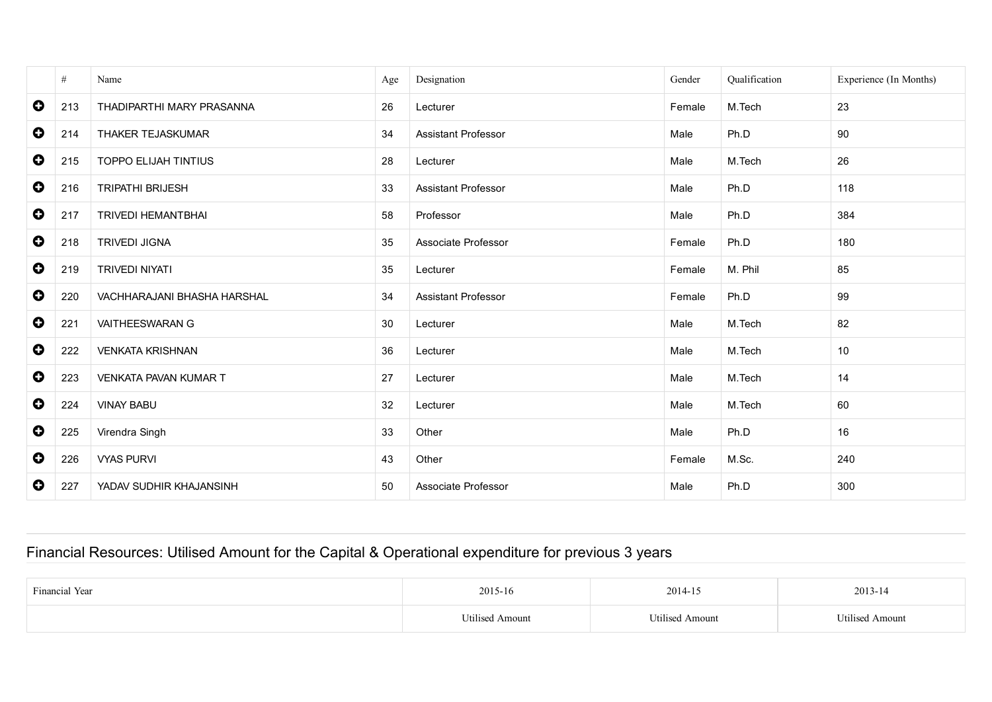|           | #   | Name                         | Age | Designation                | Gender | Qualification | Experience (In Months) |
|-----------|-----|------------------------------|-----|----------------------------|--------|---------------|------------------------|
| $\bullet$ | 213 | THADIPARTHI MARY PRASANNA    | 26  | Lecturer                   | Female | M.Tech        | 23                     |
| $\bullet$ | 214 | THAKER TEJASKUMAR            | 34  | <b>Assistant Professor</b> | Male   | Ph.D          | 90                     |
| $\bullet$ | 215 | <b>TOPPO ELIJAH TINTIUS</b>  | 28  | Lecturer                   | Male   | M.Tech        | 26                     |
| $\bullet$ | 216 | <b>TRIPATHI BRIJESH</b>      | 33  | <b>Assistant Professor</b> | Male   | Ph.D          | 118                    |
| $\bullet$ | 217 | <b>TRIVEDI HEMANTBHAI</b>    | 58  | Professor                  | Male   | Ph.D          | 384                    |
| $\bullet$ | 218 | <b>TRIVEDI JIGNA</b>         | 35  | Associate Professor        | Female | Ph.D          | 180                    |
| $\bullet$ | 219 | <b>TRIVEDI NIYATI</b>        | 35  | Lecturer                   | Female | M. Phil       | 85                     |
| $\bullet$ | 220 | VACHHARAJANI BHASHA HARSHAL  | 34  | <b>Assistant Professor</b> | Female | Ph.D          | 99                     |
| $\bullet$ | 221 | <b>VAITHEESWARAN G</b>       | 30  | Lecturer                   | Male   | M.Tech        | 82                     |
| $\bullet$ | 222 | <b>VENKATA KRISHNAN</b>      | 36  | Lecturer                   | Male   | M.Tech        | 10                     |
| $\bullet$ | 223 | <b>VENKATA PAVAN KUMAR T</b> | 27  | Lecturer                   | Male   | M.Tech        | 14                     |
| $\bullet$ | 224 | <b>VINAY BABU</b>            | 32  | Lecturer                   | Male   | M.Tech        | 60                     |
| $\bullet$ | 225 | Virendra Singh               | 33  | Other                      | Male   | Ph.D          | 16                     |
| $\bullet$ | 226 | <b>VYAS PURVI</b>            | 43  | Other                      | Female | M.Sc.         | 240                    |
| $\bullet$ | 227 | YADAV SUDHIR KHAJANSINH      | 50  | Associate Professor        | Male   | Ph.D          | 300                    |

# Financial Resources: Utilised Amount for the Capital & Operational expenditure for previous 3 years

| <b>Financial Year</b> | 2015-16          | 2014-15                      | 2013-14                      |
|-----------------------|------------------|------------------------------|------------------------------|
|                       | "Itilised Amount | <sup>T</sup> Itilised Amount | <sup>I</sup> Itilised Amount |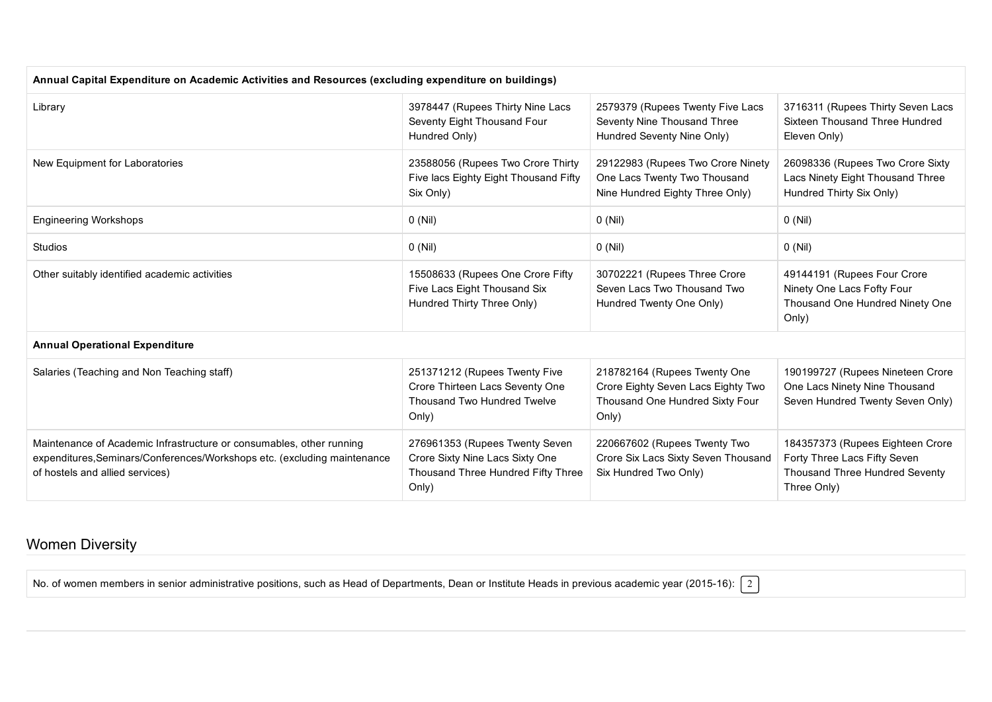| Annual Capital Expenditure on Academic Activities and Resources (excluding expenditure on buildings)                                                                                |                                                                                                                  |                                                                                                                |                                                                                                                          |  |  |  |
|-------------------------------------------------------------------------------------------------------------------------------------------------------------------------------------|------------------------------------------------------------------------------------------------------------------|----------------------------------------------------------------------------------------------------------------|--------------------------------------------------------------------------------------------------------------------------|--|--|--|
| Library                                                                                                                                                                             | 3978447 (Rupees Thirty Nine Lacs<br>Seventy Eight Thousand Four<br>Hundred Only)                                 | 2579379 (Rupees Twenty Five Lacs<br>Seventy Nine Thousand Three<br>Hundred Seventy Nine Only)                  | 3716311 (Rupees Thirty Seven Lacs<br>Sixteen Thousand Three Hundred<br>Eleven Only)                                      |  |  |  |
| New Equipment for Laboratories                                                                                                                                                      | 23588056 (Rupees Two Crore Thirty<br>Five lacs Eighty Eight Thousand Fifty<br>Six Only)                          | 29122983 (Rupees Two Crore Ninety<br>One Lacs Twenty Two Thousand<br>Nine Hundred Eighty Three Only)           | 26098336 (Rupees Two Crore Sixty<br>Lacs Ninety Eight Thousand Three<br>Hundred Thirty Six Only)                         |  |  |  |
| <b>Engineering Workshops</b>                                                                                                                                                        | $0$ (Nil)                                                                                                        | $0$ (Nil)                                                                                                      | $0$ (Nil)                                                                                                                |  |  |  |
| <b>Studios</b>                                                                                                                                                                      | $0$ (Nil)                                                                                                        | $0$ (Nil)                                                                                                      | $0$ (Nil)                                                                                                                |  |  |  |
| Other suitably identified academic activities                                                                                                                                       | 15508633 (Rupees One Crore Fifty<br>Five Lacs Eight Thousand Six<br>Hundred Thirty Three Only)                   | 30702221 (Rupees Three Crore<br>Seven Lacs Two Thousand Two<br>Hundred Twenty One Only)                        | 49144191 (Rupees Four Crore<br>Ninety One Lacs Fofty Four<br>Thousand One Hundred Ninety One<br>Only)                    |  |  |  |
| <b>Annual Operational Expenditure</b>                                                                                                                                               |                                                                                                                  |                                                                                                                |                                                                                                                          |  |  |  |
| Salaries (Teaching and Non Teaching staff)                                                                                                                                          | 251371212 (Rupees Twenty Five<br>Crore Thirteen Lacs Seventy One<br>Thousand Two Hundred Twelve<br>Only)         | 218782164 (Rupees Twenty One<br>Crore Eighty Seven Lacs Eighty Two<br>Thousand One Hundred Sixty Four<br>Only) | 190199727 (Rupees Nineteen Crore<br>One Lacs Ninety Nine Thousand<br>Seven Hundred Twenty Seven Only)                    |  |  |  |
| Maintenance of Academic Infrastructure or consumables, other running<br>expenditures, Seminars/Conferences/Workshops etc. (excluding maintenance<br>of hostels and allied services) | 276961353 (Rupees Twenty Seven<br>Crore Sixty Nine Lacs Sixty One<br>Thousand Three Hundred Fifty Three<br>Only) | 220667602 (Rupees Twenty Two<br>Crore Six Lacs Sixty Seven Thousand<br>Six Hundred Two Only)                   | 184357373 (Rupees Eighteen Crore<br>Forty Three Lacs Fifty Seven<br><b>Thousand Three Hundred Seventy</b><br>Three Only) |  |  |  |

### Women Diversity

No. of women members in senior administrative positions, such as Head of Departments, Dean or Institute Heads in previous academic year (2015-16):  $\boxed{2}$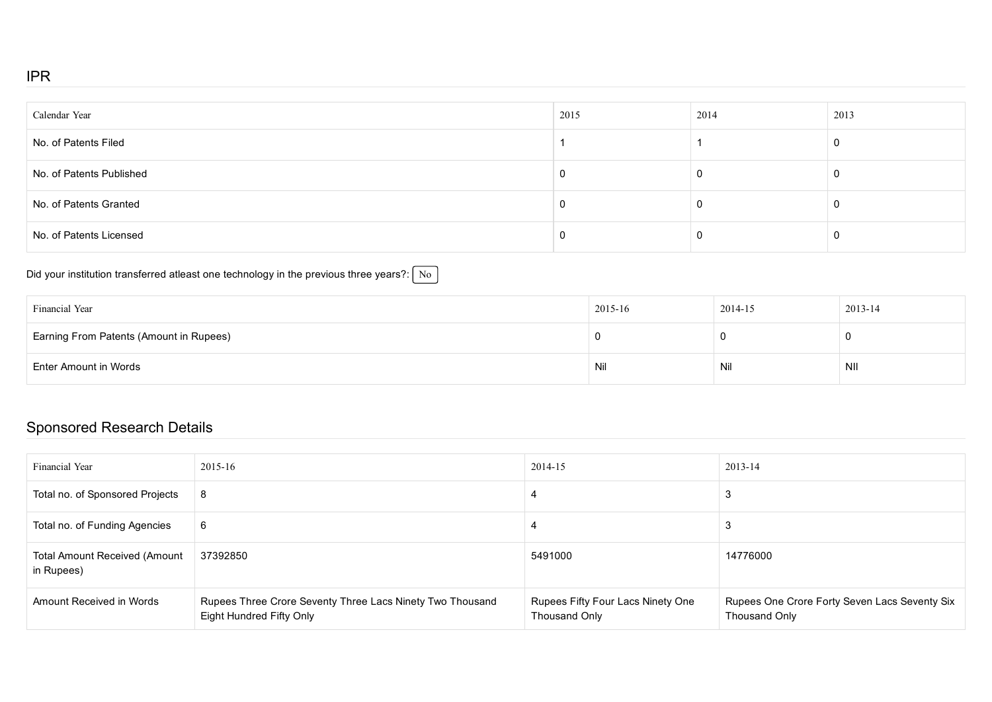#### IPR

| Calendar Year            | 2015 | 2014 | 2013     |
|--------------------------|------|------|----------|
| No. of Patents Filed     |      |      | <b>U</b> |
| No. of Patents Published | J.   |      | U        |
| No. of Patents Granted   | J.   |      | U        |
| No. of Patents Licensed  | -U   |      | 0        |

## Did your institution transferred atleast one technology in the previous three years?:  $\boxed{\text{No}}$

| Financial Year                          | 2015-16 | 2014-15 | 2013-14 |
|-----------------------------------------|---------|---------|---------|
| Earning From Patents (Amount in Rupees) |         |         |         |
| Enter Amount in Words                   | Nil     | Nil     | NII     |

## Sponsored Research Details

| Financial Year                                     | $2015 - 16$                                                                           | 2014-15                                            | $2013 - 14$                                                    |
|----------------------------------------------------|---------------------------------------------------------------------------------------|----------------------------------------------------|----------------------------------------------------------------|
| Total no. of Sponsored Projects                    | 8                                                                                     |                                                    | 3                                                              |
| Total no. of Funding Agencies                      | 6                                                                                     |                                                    | 3                                                              |
| <b>Total Amount Received (Amount</b><br>in Rupees) | 37392850                                                                              | 5491000                                            | 14776000                                                       |
| Amount Received in Words                           | Rupees Three Crore Seventy Three Lacs Ninety Two Thousand<br>Eight Hundred Fifty Only | Rupees Fifty Four Lacs Ninety One<br>Thousand Only | Rupees One Crore Forty Seven Lacs Seventy Six<br>Thousand Only |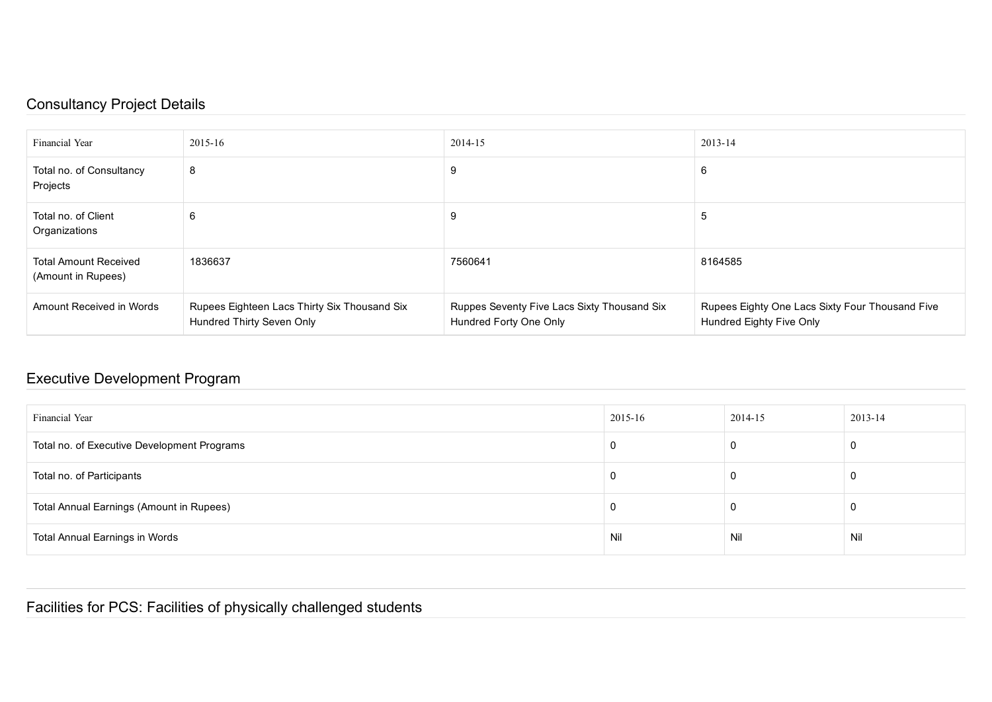## Consultancy Project Details

| <b>Financial Year</b>                              | 2015-16                                                                   | 2014-15                                                               | 2013-14                                                                     |
|----------------------------------------------------|---------------------------------------------------------------------------|-----------------------------------------------------------------------|-----------------------------------------------------------------------------|
| Total no. of Consultancy<br>Projects               | 8                                                                         | 9                                                                     | 6                                                                           |
| Total no. of Client<br>Organizations               | 6                                                                         | 9                                                                     | 5                                                                           |
| <b>Total Amount Received</b><br>(Amount in Rupees) | 1836637                                                                   | 7560641                                                               | 8164585                                                                     |
| Amount Received in Words                           | Rupees Eighteen Lacs Thirty Six Thousand Six<br>Hundred Thirty Seven Only | Ruppes Seventy Five Lacs Sixty Thousand Six<br>Hundred Forty One Only | Rupees Eighty One Lacs Sixty Four Thousand Five<br>Hundred Eighty Five Only |

## Executive Development Program

| Financial Year                              | 2015-16 | 2014-15 | 2013-14 |
|---------------------------------------------|---------|---------|---------|
| Total no. of Executive Development Programs |         |         |         |
| Total no. of Participants                   |         |         |         |
| Total Annual Earnings (Amount in Rupees)    |         |         |         |
| Total Annual Earnings in Words              | Nil     | Nil     | Nil     |

Facilities for PCS: Facilities of physically challenged students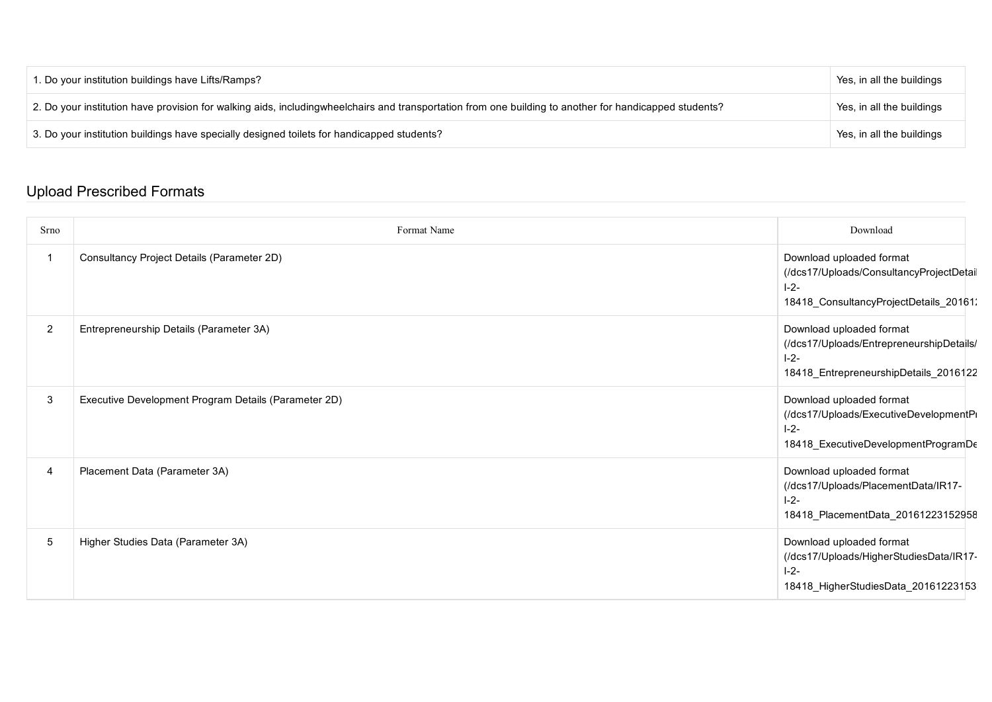| 1. Do your institution buildings have Lifts/Ramps?                                                                                                     | Yes, in all the buildings |
|--------------------------------------------------------------------------------------------------------------------------------------------------------|---------------------------|
| 2. Do your institution have provision for walking aids, includingwheelchairs and transportation from one building to another for handicapped students? | Yes, in all the buildings |
| 3. Do your institution buildings have specially designed toilets for handicapped students?                                                             | Yes, in all the buildings |

### Upload Prescribed Formats

| Srno           | Format Name                                          | Download                                                                                                                    |
|----------------|------------------------------------------------------|-----------------------------------------------------------------------------------------------------------------------------|
| -1             | Consultancy Project Details (Parameter 2D)           | Download uploaded format<br>(/dcs17/Uploads/ConsultancyProjectDetail<br>$1 - 2 -$<br>18418_ConsultancyProjectDetails_20161: |
| $\overline{2}$ | Entrepreneurship Details (Parameter 3A)              | Download uploaded format<br>(/dcs17/Uploads/EntrepreneurshipDetails/<br>$1 - 2 -$<br>18418_EntrepreneurshipDetails_2016122  |
| 3              | Executive Development Program Details (Parameter 2D) | Download uploaded format<br>(/dcs17/Uploads/ExecutiveDevelopmentPi<br>$1 - 2 -$<br>18418_ExecutiveDevelopmentProgramDe      |
| $\overline{4}$ | Placement Data (Parameter 3A)                        | Download uploaded format<br>(/dcs17/Uploads/PlacementData/IR17-<br>$1 - 2 -$<br>18418_PlacementData_20161223152958          |
| $\sqrt{5}$     | Higher Studies Data (Parameter 3A)                   | Download uploaded format<br>(/dcs17/Uploads/HigherStudiesData/IR17-<br>$1 - 2 -$<br>18418_HigherStudiesData_20161223153     |